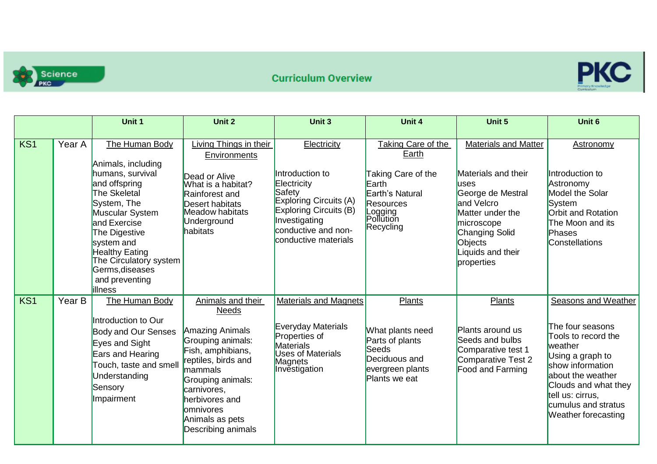



|     |        | Unit 1                                                                                                                                                                                                                                                                               | Unit 2                                                                                                                                                                                                                                            | Unit 3                                                                                                                                                                      | Unit 4                                                                                                                                 | Unit 5                                                                                                                                                                                                               | Unit 6                                                                                                                                                                                                                                  |
|-----|--------|--------------------------------------------------------------------------------------------------------------------------------------------------------------------------------------------------------------------------------------------------------------------------------------|---------------------------------------------------------------------------------------------------------------------------------------------------------------------------------------------------------------------------------------------------|-----------------------------------------------------------------------------------------------------------------------------------------------------------------------------|----------------------------------------------------------------------------------------------------------------------------------------|----------------------------------------------------------------------------------------------------------------------------------------------------------------------------------------------------------------------|-----------------------------------------------------------------------------------------------------------------------------------------------------------------------------------------------------------------------------------------|
| KS1 | Year A | The Human Body<br>Animals, including<br>humans, survival<br>and offspring<br><b>The Skeletal</b><br>System, The<br>Muscular System<br>and Exercise<br>The Digestive<br>system and<br><b>Healthy Eating</b><br>The Circulatory system<br>Germs, diseases<br>and preventing<br>illness | Living Things in their<br>Environments<br>Dead or Alive<br>What is a habitat?<br>Rainforest and<br><b>Desert habitats</b><br><b>Meadow habitats</b><br>Underground<br>habitats                                                                    | Electricity<br>Introduction to<br>Electricity<br>Safety<br>Exploring Circuits (A)<br>Exploring Circuits (B)<br>Investigating<br>conductive and non-<br>conductive materials | Taking Care of the<br>Earth<br>Taking Care of the<br>Earth<br>Earth's Natural<br><b>Resources</b><br>Logging<br>Pollution<br>Recycling | <b>Materials and Matter</b><br>Materials and their<br><b>uses</b><br>George de Mestral<br>and Velcro<br>Matter under the<br>microscope<br><b>Changing Solid</b><br><b>Objects</b><br>Liquids and their<br>properties | Astronomy<br>Introduction to<br>Astronomy<br><b>Model the Solar</b><br>System<br>Orbit and Rotation<br>The Moon and its<br>Phases<br><b>Constellations</b>                                                                              |
| KS1 | Year B | The Human Body<br>Introduction to Our<br><b>Body and Our Senses</b><br>Eyes and Sight<br>Ears and Hearing<br>Touch, taste and smell<br>Understanding<br>Sensory<br>Impairment                                                                                                        | Animals and their<br><b>Needs</b><br>Amazing Animals<br>Grouping animals:<br>Fish, amphibians,<br>reptiles, birds and<br>mammals<br>Grouping animals:<br>carnivores,<br>herbivores and<br><b>company</b><br>Animals as pets<br>Describing animals | <b>Materials and Magnets</b><br><b>Everyday Materials</b><br>Properties of<br>Materials<br><b>Uses of Materials</b><br>Magnets<br>Investigation                             | Plants<br>What plants need<br>Parts of plants<br><b>Seeds</b><br>Deciduous and<br>evergreen plants<br>Plants we eat                    | Plants<br>Plants around us<br>Seeds and bulbs<br>Comparative test 1<br><b>Comparative Test 2</b><br>Food and Farming                                                                                                 | Seasons and Weather<br>The four seasons<br>Tools to record the<br>weather<br>Using a graph to<br>show information<br>about the weather<br>Clouds and what they<br>tell us: cirrus,<br>cumulus and stratus<br><b>Weather forecasting</b> |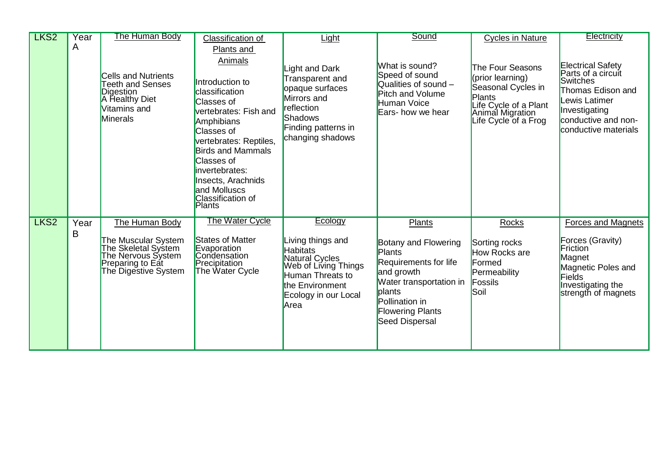| LKS <sub>2</sub> | Year      | The Human Body                                                                                                                 | Classification of                                                                                                                                                                                                                                                                                             | Light                                                                                                                                                            | Sound                                                                                                                                                                                      | <b>Cycles in Nature</b>                                                                                                                          | <b>Electricity</b>                                                                                                                                                      |
|------------------|-----------|--------------------------------------------------------------------------------------------------------------------------------|---------------------------------------------------------------------------------------------------------------------------------------------------------------------------------------------------------------------------------------------------------------------------------------------------------------|------------------------------------------------------------------------------------------------------------------------------------------------------------------|--------------------------------------------------------------------------------------------------------------------------------------------------------------------------------------------|--------------------------------------------------------------------------------------------------------------------------------------------------|-------------------------------------------------------------------------------------------------------------------------------------------------------------------------|
|                  | A         | <b>Cells and Nutrients</b><br><b>Teeth and Senses</b><br>Digestion<br>A Healthy Diet<br>Vitamins and<br><b>Minerals</b>        | Plants and<br>Animals<br>Introduction to<br>classification<br><b>Classes of</b><br>vertebrates: Fish and<br>Amphibians<br>Classes of<br>vertebrates: Reptiles,<br><b>Birds and Mammals</b><br><b>Classes of</b><br>invertebrates:<br>Insects, Arachnids<br>and Molluscs<br>Classification of<br><b>Plants</b> | Light and Dark<br>Transparent and<br>opaque surfaces<br>Mirrors and<br>reflection<br>Shadows<br>Finding patterns in<br>changing shadows                          | What is sound?<br>Speed of sound<br>Qualities of sound $-$<br><b>Pitch and Volume</b><br>Human Voice<br>Ears- how we hear                                                                  | The Four Seasons<br>(prior learning)<br>Seasonal Cycles in<br><b>Plants</b><br>Life Cycle of a Plant<br>Animal Migration<br>Life Cycle of a Frog | <b>Electrical Safety</b><br>Parts of a circuit<br><b>Switches</b><br>Thomas Edison and<br>Lewis Latimer<br>Investigating<br>conductive and non-<br>conductive materials |
| LKS <sub>2</sub> | Year<br>B | The Human Body<br>The Muscular System<br>The Skeletal System<br>The Nervous System<br>Preparing to Eat<br>The Digestive System | <b>The Water Cycle</b><br><b>States of Matter</b><br>Evaporation<br>Condensation<br>Precipitation<br>The Water Cycle                                                                                                                                                                                          | Ecology<br>Living things and<br><b>Habitats</b><br>Natural Cycles<br>Web of Living Things<br>Human Threats to<br>the Environment<br>Ecology in our Local<br>Area | <b>Plants</b><br>Botany and Flowering<br>Plants<br>Requirements for life<br>and growth<br>Water transportation in<br>plants<br>Pollination in<br><b>Flowering Plants</b><br>Seed Dispersal | Rocks<br>Sorting rocks<br>How Rocks are<br>Formed<br>Permeability<br>Fossils<br>Soil                                                             | <b>Forces and Magnets</b><br>Forces (Gravity)<br>Friction<br>Magnet<br>Magnetic Poles and<br><b>Fields</b><br>Investigating the<br>strength of magnets                  |